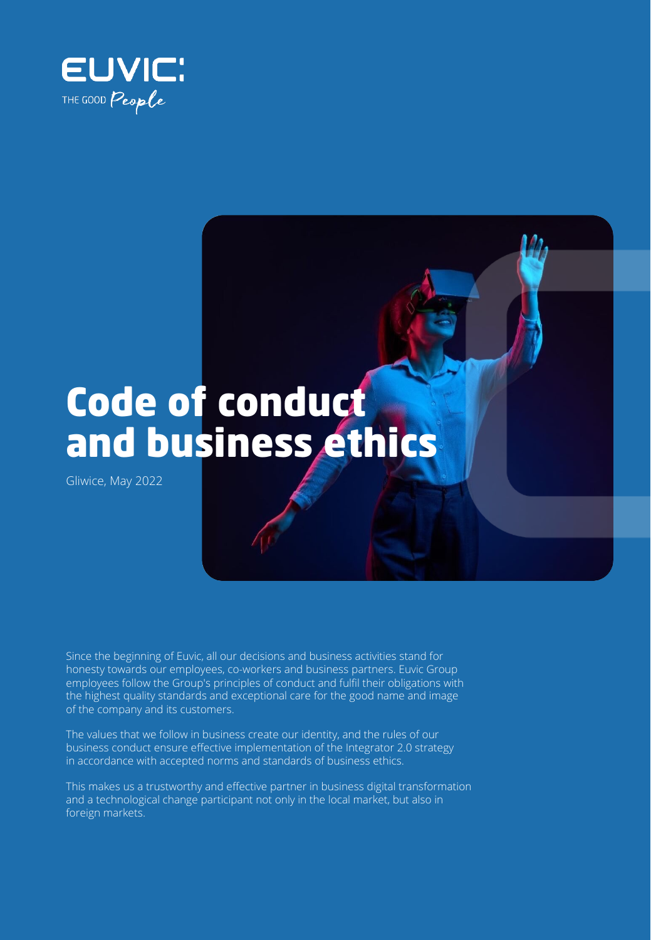



Gliwice, May 2022

Since the beginning of Euvic, all our decisions and business activities stand for honesty towards our employees, co-workers and business partners. Euvic Group employees follow the Group's principles of conduct and fulfil their obligations with the highest quality standards and exceptional care for the good name and image of the company and its customers.

The values that we follow in business create our identity, and the rules of our business conduct ensure effective implementation of the Integrator 2.0 strategy in accordance with accepted norms and standards of business ethics.

This makes us a trustworthy and effective partner in business digital transformation and a technological change participant not only in the local market, but also in foreign markets.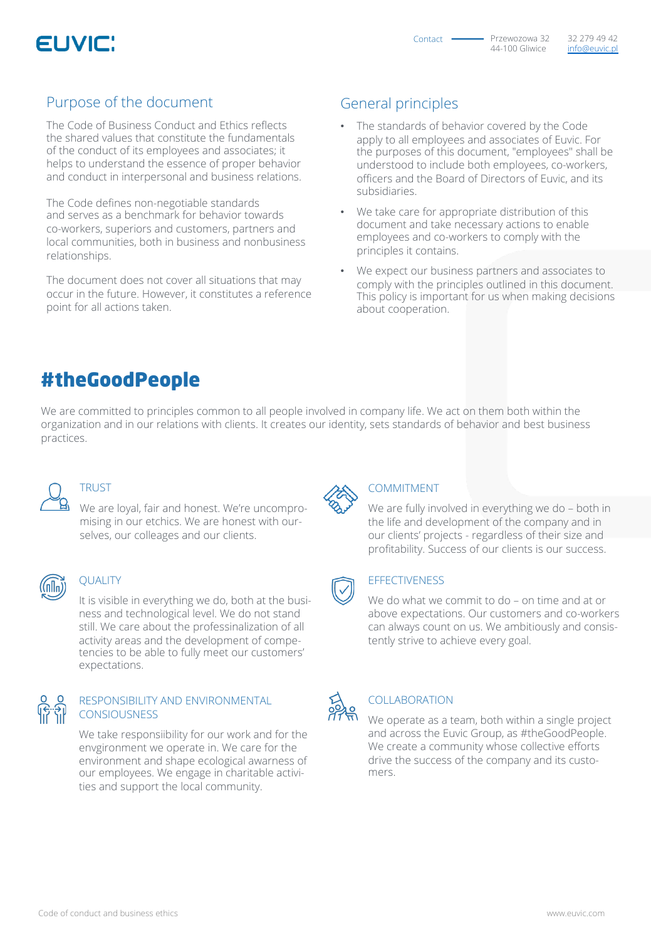

#### Purpose of the document

The Code of Business Conduct and Ethics reflects the shared values that constitute the fundamentals of the conduct of its employees and associates; it helps to understand the essence of proper behavior and conduct in interpersonal and business relations.

The Code defines non-negotiable standards and serves as a benchmark for behavior towards co-workers, superiors and customers, partners and local communities, both in business and nonbusiness relationships.

The document does not cover all situations that may occur in the future. However, it constitutes a reference point for all actions taken.

### General principles

- The standards of behavior covered by the Code apply to all employees and associates of Euvic. For the purposes of this document, "employees" shall be understood to include both employees, co-workers, officers and the Board of Directors of Euvic, and its subsidiaries.
- We take care for appropriate distribution of this document and take necessary actions to enable employees and co-workers to comply with the principles it contains.
- We expect our business partners and associates to comply with the principles outlined in this document. This policy is important for us when making decisions about cooperation.

## #theGoodPeople

We are committed to principles common to all people involved in company life. We act on them both within the organization and in our relations with clients. It creates our identity, sets standards of behavior and best business practices.

**TRUST** 

We are loyal, fair and honest. We're uncompromising in our etchics. We are honest with ourselves, our colleages and our clients.

#### **QUALITY**

It is visible in everything we do, both at the business and technological level. We do not stand still. We care about the professinalization of all activity areas and the development of competencies to be able to fully meet our customers' expectations.

#### RESPONSIBILITY AND ENVIRONMENTAL CONSIOUSNESS

We take responsiibility for our work and for the envgironment we operate in. We care for the environment and shape ecological awarness of our employees. We engage in charitable activities and support the local community.



#### COMMITMENT

We are fully involved in everything we do – both in the life and development of the company and in our clients' projects - regardless of their size and profitability. Success of our clients is our success.

#### **EFFECTIVENESS**

We do what we commit to do – on time and at or above expectations. Our customers and co-workers can always count on us. We ambitiously and consistently strive to achieve every goal.

### COLLABORATION

We operate as a team, both within a single project and across the Euvic Group, as #theGoodPeople. We create a community whose collective efforts drive the success of the company and its customers.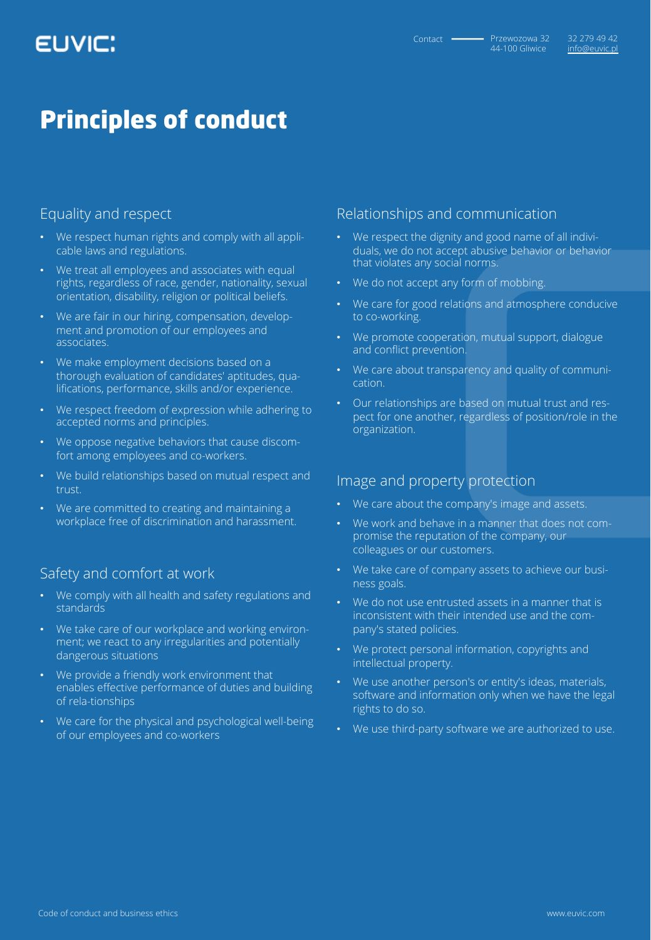# EUVIC:

# Principles of conduct

#### Equality and respect

- We respect human rights and comply with all applicable laws and regulations.
- We treat all employees and associates with equal rights, regardless of race, gender, nationality, sexual orientation, disability, religion or political beliefs.
- We are fair in our hiring, compensation, development and promotion of our employees and associates.
- We make employment decisions based on a thorough evaluation of candidates' aptitudes, qualifications, performance, skills and/or experience.
- We respect freedom of expression while adhering to accepted norms and principles.
- We oppose negative behaviors that cause discomfort among employees and co-workers.
- We build relationships based on mutual respect and trust.
- We are committed to creating and maintaining a workplace free of discrimination and harassment.

#### Safety and comfort at work

- We comply with all health and safety regulations and standards<sup>1</sup>
- We take care of our workplace and working environment; we react to any irregularities and potentially dangerous situations
- We provide a friendly work environment that enables effective performance of duties and building of rela-tionships
- We care for the physical and psychological well-being of our employees and co-workers

#### Relationships and communication

- We respect the dignity and good name of all individuals, we do not accept abusive behavior or behavior that violates any social norms.
- We do not accept any form of mobbing.
- We care for good relations and atmosphere conducive to co-working.
- We promote cooperation, mutual support, dialogue and conflict prevention.
- We care about transparency and quality of communication.
- Our relationships are based on mutual trust and respect for one another, regardless of position/role in the organization.

#### Image and property protection

- We care about the company's image and assets.
- We work and behave in a manner that does not compromise the reputation of the company, our colleagues or our customers.
- We take care of company assets to achieve our business goals.
- We do not use entrusted assets in a manner that is inconsistent with their intended use and the company's stated policies.
- We protect personal information, copyrights and intellectual property.
- We use another person's or entity's ideas, materials, software and information only when we have the legal rights to do so.
- We use third-party software we are authorized to use.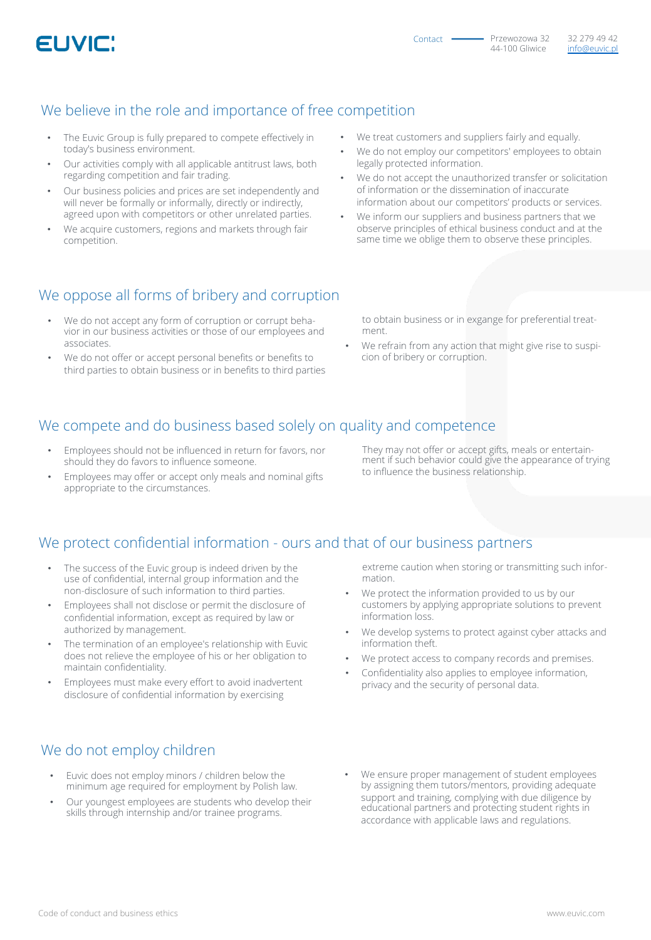

#### We believe in the role and importance of free competition

- The Euvic Group is fully prepared to compete effectively in today's business environment.
- Our activities comply with all applicable antitrust laws, both regarding competition and fair trading.
- Our business policies and prices are set independently and will never be formally or informally, directly or indirectly, agreed upon with competitors or other unrelated parties.
- We acquire customers, regions and markets through fair competition.
- We treat customers and suppliers fairly and equally.
- We do not employ our competitors' employees to obtain legally protected information.
- We do not accept the unauthorized transfer or solicitation of information or the dissemination of inaccurate information about our competitors' products or services.
- We inform our suppliers and business partners that we observe principles of ethical business conduct and at the same time we oblige them to observe these principles.

#### We oppose all forms of bribery and corruption

- We do not accept any form of corruption or corrupt behavior in our business activities or those of our employees and associates.
- We do not offer or accept personal benefits or benefits to third parties to obtain business or in benefits to third parties

to obtain business or in exgange for preferential treatment.

We refrain from any action that might give rise to suspicion of bribery or corruption.

### We compete and do business based solely on quality and competence

- Employees should not be influenced in return for favors, nor should they do favors to influence someone.
- Employees may offer or accept only meals and nominal gifts appropriate to the circumstances.

They may not offer or accept gifts, meals or entertainment if such behavior could give the appearance of trying to influence the business relationship.

#### We protect confidential information - ours and that of our business partners

- The success of the Euvic group is indeed driven by the use of confidential, internal group information and the non-disclosure of such information to third parties.
- Employees shall not disclose or permit the disclosure of confidential information, except as required by law or authorized by management.
- The termination of an employee's relationship with Euvic does not relieve the employee of his or her obligation to maintain confidentiality.
- Employees must make every effort to avoid inadvertent disclosure of confidential information by exercising

#### extreme caution when storing or transmitting such information.

- We protect the information provided to us by our customers by applying appropriate solutions to prevent information loss.
- We develop systems to protect against cyber attacks and information theft.
- We protect access to company records and premises.
- Confidentiality also applies to employee information, privacy and the security of personal data.

#### We do not employ children

- Euvic does not employ minors / children below the minimum age required for employment by Polish law.
- Our youngest employees are students who develop their skills through internship and/or trainee programs.
- We ensure proper management of student employees by assigning them tutors/mentors, providing adequate support and training, complying with due diligence by educational partners and protecting student rights in accordance with applicable laws and regulations.